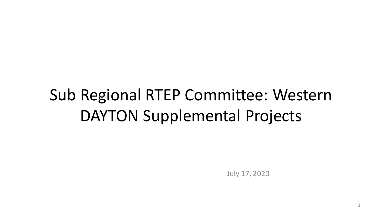# Sub Regional RTEP Committee: Western DAYTON Supplemental Projects

July 17, 2020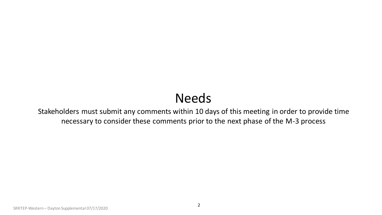# Needs

Stakeholders must submit any comments within 10 days of this meeting in order to provide time necessary to consider these comments prior to the next phase of the M-3 process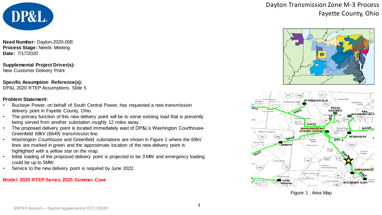

**Need Number:** Dayton-2020-008 **Process Stage:** Needs Meeting **Date:** 7/17/2020

**Supplemental Project Driver(s):** New Customer Delivery Point

### **Specific Assumption Reference(s):**

DP&L 2020 RTEP Assumptions, Slide 5

#### **Problem Statement:**

- Buckeye Power, on behalf of South Central Power, has requested a new transmission delivery point in Fayette County, Ohio.
- The primary function of this new delivery point will be to serve existing load that is presently being served from another substation roughly 12 miles away.
- The proposed delivery point is located immediately east of DP&L's Washington Courthouse-Greenfield 69kV (6649) transmission line.
- Washington Courthouse and Greenfield substations are shown in Figure 1 where the 69kV lines are marked in green and the approximate location of the new delivery point is highlighted with a yellow star on the map.
- Initial loading of the proposed delivery point is projected to be 3 MW and emergency loading could be up to 5MW.
- Service to the new delivery point is required by June 2022.

#### **Model: 2020 RTEP Series, 2025 Summer Case**

Dayton Transmission Zone M-3 Process Fayette County, Ohio





Figure 1 : Area Map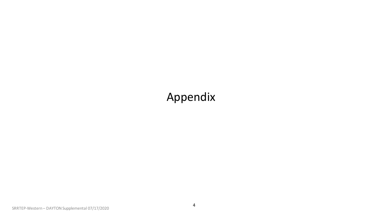# Appendix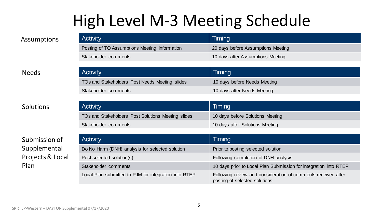# High Level M-3 Meeting Schedule

| <b>Activity</b>                               | Timing                             |
|-----------------------------------------------|------------------------------------|
| Posting of TO Assumptions Meeting information | 20 days before Assumptions Meeting |
| Stakeholder comments                          | 10 days after Assumptions Meeting  |

### Needs

### Solutions

## Submission of Supplemental Projects & Local Plan

| <b>Activity</b>                                | Timing                       |
|------------------------------------------------|------------------------------|
| TOs and Stakeholders Post Needs Meeting slides | 10 days before Needs Meeting |
| Stakeholder comments                           | 10 days after Needs Meeting  |
|                                                |                              |

| <b>Activity</b>                                    | Timing                           |
|----------------------------------------------------|----------------------------------|
| TOs and Stakeholders Post Solutions Meeting slides | 10 days before Solutions Meeting |
| Stakeholder comments                               | 10 days after Solutions Meeting  |

| <b>Activity</b>                                       | Timing                                                                                         |
|-------------------------------------------------------|------------------------------------------------------------------------------------------------|
| Do No Harm (DNH) analysis for selected solution       | Prior to posting selected solution                                                             |
| Post selected solution(s)                             | Following completion of DNH analysis                                                           |
| Stakeholder comments                                  | 10 days prior to Local Plan Submission for integration into RTEP                               |
| Local Plan submitted to PJM for integration into RTEP | Following review and consideration of comments received after<br>posting of selected solutions |